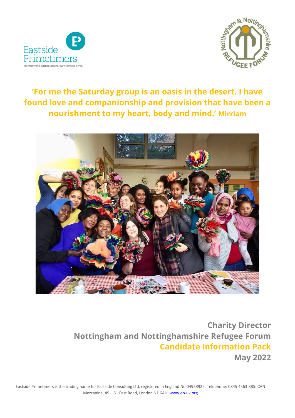



# **'For me the Saturday group is an oasis in the desert. I have found love and companionship and provision that have been a nourishment to my heart, body and mind.' Mirriam**



**Charity Director Nottingham and Nottinghamshire Refugee Forum Candidate Information Pack May 2022**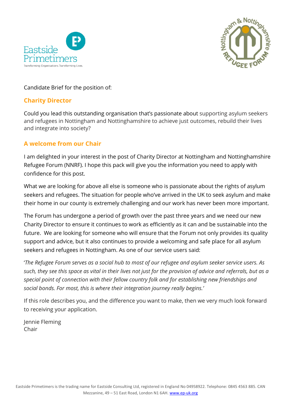



#### Candidate Brief for the position of:

#### **Charity Director**

Could you lead this outstanding organisation that's passionate about supporting asylum seekers and refugees in Nottingham and Nottinghamshire to achieve just outcomes, rebuild their lives and integrate into society?

## **A welcome from our Chair**

I am delighted in your interest in the post of Charity Director at Nottingham and Nottinghamshire Refugee Forum (NNRF). I hope this pack will give you the information you need to apply with confidence for this post.

What we are looking for above all else is someone who is passionate about the rights of asylum seekers and refugees. The situation for people who've arrived in the UK to seek asylum and make their home in our county is extremely challenging and our work has never been more important.

The Forum has undergone a period of growth over the past three years and we need our new Charity Director to ensure it continues to work as efficiently as it can and be sustainable into the future. We are looking for someone who will ensure that the Forum not only provides its quality support and advice, but it also continues to provide a welcoming and safe place for all asylum seekers and refugees in Nottingham. As one of our service users said:

'*The Refugee Forum serves as a social hub to most of our refugee and asylum seeker service users. As such, they see this space as vital in their lives not just for the provision of advice and referrals, but as a special point of connection with their fellow country folk and for establishing new friendships and social bonds. For most, this is where their integration journey really begins.'*

If this role describes you, and the difference you want to make, then we very much look forward to receiving your application.

Jennie Fleming Chair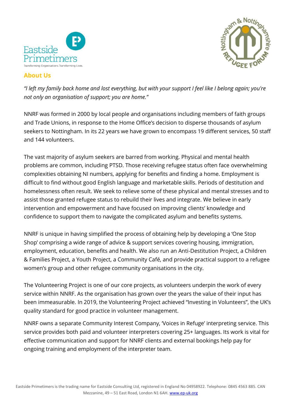

# am & Not

# **About Us**

*"I left my family back home and lost everything, but with your support I feel like I belong again; you're not only an organisation of support; you are home."*

NNRF was formed in 2000 by local people and organisations including members of faith groups and Trade Unions, in response to the Home Office's decision to disperse thousands of asylum seekers to Nottingham. In its 22 years we have grown to encompass 19 different services, 50 staff and 144 volunteers.

The vast majority of asylum seekers are barred from working. Physical and mental health problems are common, including PTSD. Those receiving refugee status often face overwhelming complexities obtaining NI numbers, applying for benefits and finding a home. Employment is difficult to find without good English language and marketable skills. Periods of destitution and homelessness often result. We seek to relieve some of these physical and mental stresses and to assist those granted refugee status to rebuild their lives and integrate. We believe in early intervention and empowerment and have focused on improving clients' knowledge and confidence to support them to navigate the complicated asylum and benefits systems.

NNRF is unique in having simplified the process of obtaining help by developing a 'One Stop Shop' comprising a wide range of advice & support services covering housing, immigration, employment, education, benefits and health. We also run an Anti-Destitution Project, a Children & Families Project, a Youth Project, a Community Café, and provide practical support to a refugee women's group and other refugee community organisations in the city.

The Volunteering Project is one of our core projects, as volunteers underpin the work of every service within NNRF. As the organisation has grown over the years the value of their input has been immeasurable. In 2019, the Volunteering Project achieved "Investing in Volunteers", the UK's quality standard for good practice in volunteer management.

NNRF owns a separate Community Interest Company, 'Voices in Refuge' interpreting service. This service provides both paid and volunteer interpreters covering 25+ languages. Its work is vital for effective communication and support for NNRF clients and external bookings help pay for ongoing training and employment of the interpreter team.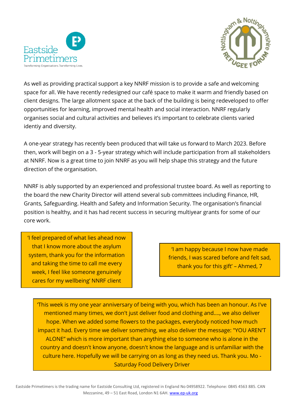



As well as providing practical support a key NNRF mission is to provide a safe and welcoming space for all. We have recently redesigned our café space to make it warm and friendly based on client designs. The large allotment space at the back of the building is being redeveloped to offer opportunities for learning, improved mental health and social interaction. NNRF regularly organises social and cultural activities and believes it's important to celebrate clients varied identiy and diversity.

A one-year strategy has recently been produced that will take us forward to March 2023. Before then, work will begin on a 3 - 5-year strategy which will include participation from all stakeholders at NNRF. Now is a great time to join NNRF as you will help shape this strategy and the future direction of the organisation.

NNRF is ably supported by an experienced and professional trustee board. As well as reporting to the board the new Charity Director will attend several sub committees including Finance, HR, Grants, Safeguarding. Health and Safety and Information Security. The organisation's financial position is healthy, and it has had recent success in securing multiyear grants for some of our core work.

'I feel prepared of what lies ahead now that I know more about the asylum system, thank you for the information and taking the time to call me every week, I feel like someone genuinely cares for my wellbeing' NNRF client

'I am happy because I now have made friends, I was scared before and felt sad, thank you for this gift' – Ahmed, 7

'This week is my one year anniversary of being with you, which has been an honour. As I've mentioned many times, we don't just deliver food and clothing and...., we also deliver hope. When we added some flowers to the packages, everybody noticed how much impact it had. Every time we deliver something, we also deliver the message: "YOU AREN'T ALONE" which is more important than anything else to someone who is alone in the country and doesn't know anyone, doesn't know the language and is unfamiliar with the culture here. Hopefully we will be carrying on as long as they need us. Thank you. Mo - Saturday Food Delivery Driver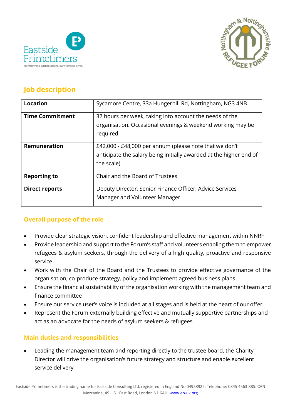



# **Job description**

| <b>Location</b>        | Sycamore Centre, 33a Hungerhill Rd, Nottingham, NG3 4NB                                                                                    |
|------------------------|--------------------------------------------------------------------------------------------------------------------------------------------|
| <b>Time Commitment</b> | 37 hours per week, taking into account the needs of the<br>organisation. Occasional evenings & weekend working may be<br>required.         |
| <b>Remuneration</b>    | £42,000 - £48,000 per annum (please note that we don't<br>anticipate the salary being initially awarded at the higher end of<br>the scale) |
| <b>Reporting to</b>    | Chair and the Board of Trustees                                                                                                            |
| <b>Direct reports</b>  | Deputy Director, Senior Finance Officer, Advice Services<br>Manager and Volunteer Manager                                                  |

# **Overall purpose of the role**

- Provide clear strategic vision, confident leadership and effective management within NNRF
- Provide leadership and support to the Forum's staff and volunteers enabling them to empower refugees & asylum seekers, through the delivery of a high quality, proactive and responsive service
- Work with the Chair of the Board and the Trustees to provide effective governance of the organisation, co-produce strategy, policy and implement agreed business plans
- Ensure the financial sustainability of the organisation working with the management team and finance committee
- Ensure our service user's voice is included at all stages and is held at the heart of our offer.
- Represent the Forum externally building effective and mutually supportive partnerships and act as an advocate for the needs of asylum seekers & refugees

# **Main duties and responsibilities**

• Leading the management team and reporting directly to the trustee board, the Charity Director will drive the organisation's future strategy and structure and enable excellent service delivery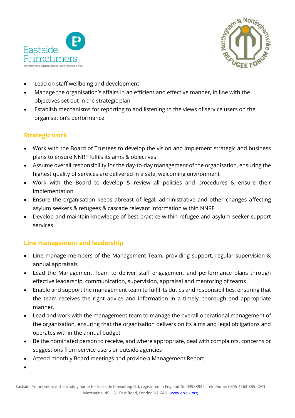



- Lead on staff wellbeing and development
- Manage the organisation's affairs in an efficient and effective manner, in line with the objectives set out in the strategic plan
- Establish mechanisms for reporting to and listening to the views of service users on the organisation's performance

#### **Strategic work**

- Work with the Board of Trustees to develop the vision and implement strategic and business plans to ensure NNRF fulfils its aims & objectives
- Assume overall responsibility for the day-to-day management of the organisation, ensuring the highest quality of services are delivered in a safe, welcoming environment
- Work with the Board to develop & review all policies and procedures & ensure their implementation
- Ensure the organisation keeps abreast of legal, administrative and other changes affecting asylum seekers & refugees & cascade relevant information within NNRF
- Develop and maintain knowledge of best practice within refugee and asylum seeker support services

## **Line management and leadership**

- Line manage members of the Management Team, providing support, regular supervision & annual appraisals
- Lead the Management Team to deliver staff engagement and performance plans through effective leadership, communication, supervision, appraisal and mentoring of teams
- Enable and support the management team to fulfil its duties and responsibilities, ensuring that the team receives the right advice and information in a timely, thorough and appropriate manner.
- Lead and work with the management team to manage the overall operational management of the organisation, ensuring that the organisation delivers on its aims and legal obligations and operates within the annual budget
- Be the nominated person to receive, and where appropriate, deal with complaints, concerns or suggestions from service users or outside agencies
- Attend monthly Board meetings and provide a Management Report

•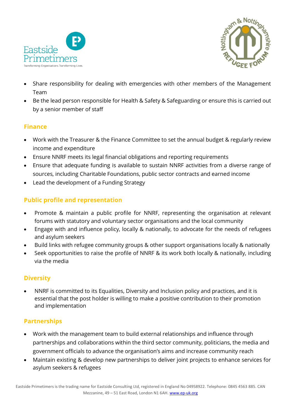



- Share responsibility for dealing with emergencies with other members of the Management Team
- Be the lead person responsible for Health & Safety & Safeguarding or ensure this is carried out by a senior member of staff

# **Finance**

- Work with the Treasurer & the Finance Committee to set the annual budget & regularly review income and expenditure
- Ensure NNRF meets its legal financial obligations and reporting requirements
- Ensure that adequate funding is available to sustain NNRF activities from a diverse range of sources, including Charitable Foundations, public sector contracts and earned income
- Lead the development of a Funding Strategy

# **Public profile and representation**

- Promote & maintain a public profile for NNRF, representing the organisation at relevant forums with statutory and voluntary sector organisations and the local community
- Engage with and influence policy, locally & nationally, to advocate for the needs of refugees and asylum seekers
- Build links with refugee community groups & other support organisations locally & nationally
- Seek opportunities to raise the profile of NNRF & its work both locally & nationally, including via the media

# **Diversity**

• NNRF is committed to its Equalities, Diversity and Inclusion policy and practices, and it is essential that the post holder is willing to make a positive contribution to their promotion and implementation

# **Partnerships**

- Work with the management team to build external relationships and influence through partnerships and collaborations within the third sector community, politicians, the media and government officials to advance the organisation's aims and increase community reach
- Maintain existing & develop new partnerships to deliver joint projects to enhance services for asylum seekers & refugees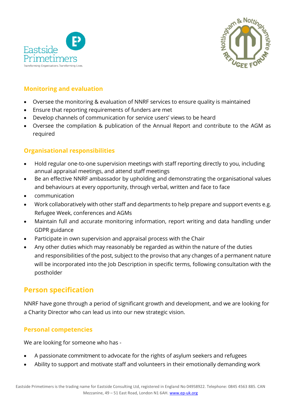



# **Monitoring and evaluation**

- Oversee the monitoring & evaluation of NNRF services to ensure quality is maintained
- Ensure that reporting requirements of funders are met
- Develop channels of communication for service users' views to be heard
- Oversee the compilation & publication of the Annual Report and contribute to the AGM as required

# **Organisational responsibilities**

- Hold regular one-to-one supervision meetings with staff reporting directly to you, including annual appraisal meetings, and attend staff meetings
- Be an effective NNRF ambassador by upholding and demonstrating the organisational values and behaviours at every opportunity, through verbal, written and face to face
- communication
- Work collaboratively with other staff and departments to help prepare and support events e.g. Refugee Week, conferences and AGMs
- Maintain full and accurate monitoring information, report writing and data handling under GDPR guidance
- Participate in own supervision and appraisal process with the Chair
- Any other duties which may reasonably be regarded as within the nature of the duties and responsibilities of the post, subject to the proviso that any changes of a permanent nature will be incorporated into the Job Description in specific terms, following consultation with the postholder

# **Person specification**

NNRF have gone through a period of significant growth and development, and we are looking for a Charity Director who can lead us into our new strategic vision.

## **Personal competencies**

We are looking for someone who has -

- A passionate commitment to advocate for the rights of asylum seekers and refugees
- Ability to support and motivate staff and volunteers in their emotionally demanding work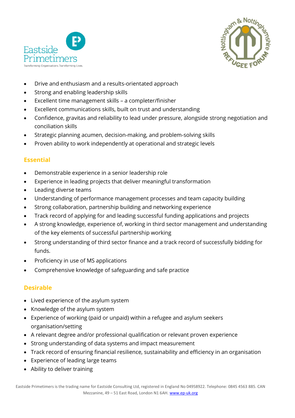



- Drive and enthusiasm and a results-orientated approach
- Strong and enabling leadership skills
- Excellent time management skills a completer/finisher
- Excellent communications skills, built on trust and understanding
- Confidence, gravitas and reliability to lead under pressure, alongside strong negotiation and conciliation skills
- Strategic planning acumen, decision-making, and problem-solving skills
- Proven ability to work independently at operational and strategic levels

#### **Essential**

- Demonstrable experience in a senior leadership role
- Experience in leading projects that deliver meaningful transformation
- Leading diverse teams
- Understanding of performance management processes and team capacity building
- Strong collaboration, partnership building and networking experience
- Track record of applying for and leading successful funding applications and projects
- A strong knowledge, experience of, working in third sector management and understanding of the key elements of successful partnership working
- Strong understanding of third sector finance and a track record of successfully bidding for funds.
- Proficiency in use of MS applications
- Comprehensive knowledge of safeguarding and safe practice

#### **Desirable**

- Lived experience of the asylum system
- Knowledge of the asylum system
- Experience of working (paid or unpaid) within a refugee and asylum seekers organisation/setting
- A relevant degree and/or professional qualification or relevant proven experience
- Strong understanding of data systems and impact measurement
- Track record of ensuring financial resilience, sustainability and efficiency in an organisation
- Experience of leading large teams
- Ability to deliver training